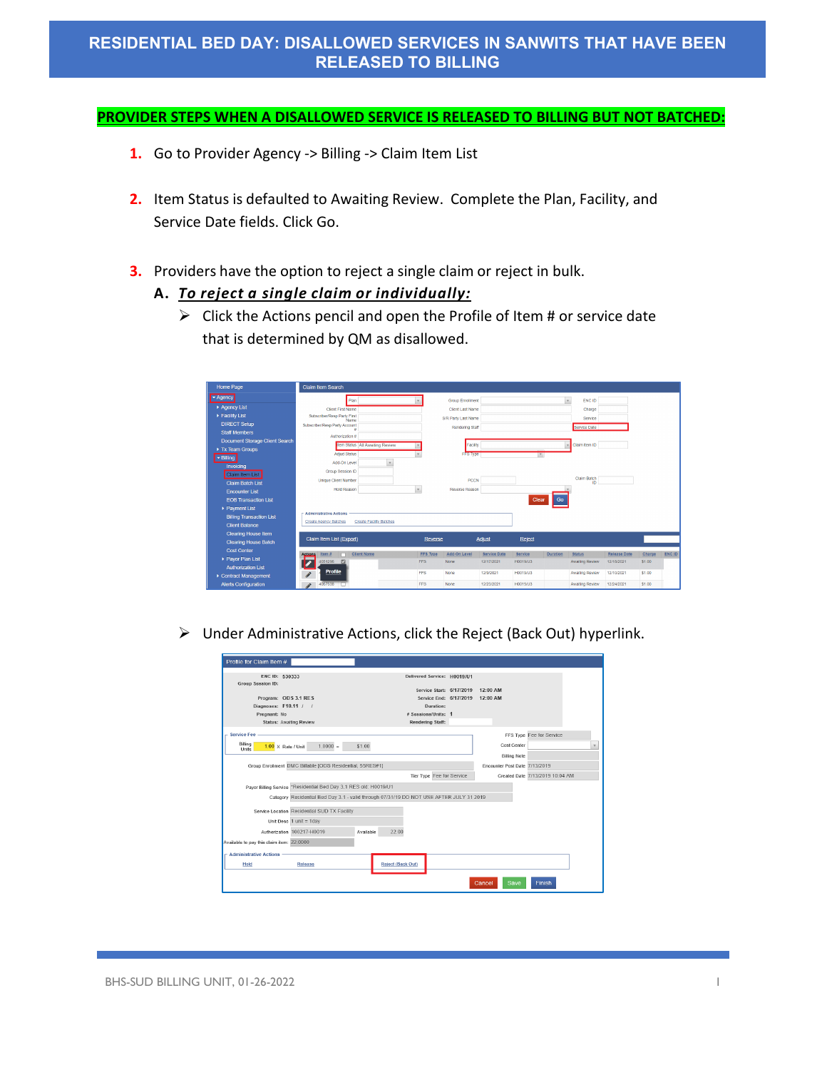#### **PROVIDER STEPS WHEN A DISALLOWED SERVICE IS RELEASED TO BILLING BUT NOT BATCHED:**

- **1.** Go to Provider Agency -> Billing -> Claim Item List
- **2.** Item Status is defaulted to Awaiting Review. Complete the Plan, Facility, and Service Date fields. Click Go.
- **3.** Providers have the option to reject a single claim or reject in bulk.

### **A.** *To reject a single claim or individually:*

 $\triangleright$  Click the Actions pencil and open the Profile of Item # or service date that is determined by QM as disallowed.

| Home Page                       | <b>Claim Item Search</b>                              |                                   |                 |                         |                     |          |                 |                 |                     |        |               |
|---------------------------------|-------------------------------------------------------|-----------------------------------|-----------------|-------------------------|---------------------|----------|-----------------|-----------------|---------------------|--------|---------------|
| - Agency                        | Plan                                                  |                                   |                 | <b>Group Enrollment</b> |                     |          |                 | ENC ID          |                     |        |               |
| Agency List                     | <b>Client First Name</b>                              |                                   |                 | Client Last Name        |                     |          |                 | Charge          |                     |        |               |
| Facility List                   | Subscriber/Reso Party First<br>Name                   |                                   |                 | S/R Party Last Name     |                     |          |                 | Service         |                     |        |               |
| <b>DIRECT Setup</b>             | Subscriber/Resp Party Account                         |                                   |                 | Rendering Staff         |                     |          |                 | Service Date    |                     |        |               |
| <b>Staff Members</b>            | Authorization #                                       |                                   |                 |                         |                     |          |                 |                 |                     |        |               |
| Document Storage Client Search  |                                                       | Item Status   All Awaiting Review |                 | Facility                |                     |          |                 | Claim Item ID   |                     |        |               |
| Tx Team Groups                  |                                                       |                                   |                 |                         |                     |          |                 |                 |                     |        |               |
| - Billing                       | Adjud Status                                          |                                   |                 | FFS Type                |                     |          |                 |                 |                     |        |               |
| Invoicing                       | Add-On Level                                          | $\rightarrow$                     |                 |                         |                     |          |                 |                 |                     |        |               |
| Claim Item List                 | Group Session ID                                      |                                   |                 |                         |                     |          |                 | Claim Batch     |                     |        |               |
| <b>Claim Batch List</b>         | <b>Unique Client Number</b>                           |                                   |                 | PCCN                    |                     |          |                 | ID              |                     |        |               |
| <b>Encounter List</b>           | <b>Hold Reason</b>                                    | $\mathbf{v}$                      |                 | Reverse Reason          |                     |          |                 |                 |                     |        |               |
| <b>EOB Transaction List</b>     |                                                       |                                   |                 |                         |                     | Clear    | Go              |                 |                     |        |               |
| Payment List                    |                                                       |                                   |                 |                         |                     |          |                 |                 |                     |        |               |
| <b>Billing Transaction List</b> | <b>Administrative Actions</b>                         |                                   |                 |                         |                     |          |                 |                 |                     |        |               |
| <b>Client Balance</b>           | <b>Create Agency Batches</b>                          | <b>Create Facility Batches</b>    |                 |                         |                     |          |                 |                 |                     |        |               |
| <b>Clearing House Item</b>      |                                                       |                                   |                 |                         |                     |          |                 |                 |                     |        |               |
| <b>Clearing House Batch</b>     | Claim Item List (Export)                              |                                   | Reverse         |                         | Adjust              | Reject   |                 |                 |                     |        |               |
| <b>Cost Center</b>              | <b>Client Name</b><br><b>Actions</b><br>Item $\theta$ |                                   | <b>FFS Type</b> | Add-On Level            | <b>Service Date</b> | Service  | <b>Duration</b> | <b>Status</b>   | <b>Release Date</b> | Charge | <b>ENC ID</b> |
| ▶ Payor Plan List               | 4051296<br>$\overline{a}$                             |                                   | <b>FFS</b>      | None                    | 12/17/2021          | H0019/U3 |                 | Awaiting Review | 12/18/2021          | \$1.00 |               |
| <b>Authorization List</b>       | ☞                                                     |                                   |                 |                         |                     |          |                 |                 |                     |        |               |
| Contract Management             | <b>Profile</b><br>$\boldsymbol{\mathcal{S}}$          |                                   | <b>FFS</b>      | None                    | 12/9/2021           | H0019/U3 |                 | Awaiting Review | 12/10/2021          | \$1.00 |               |
| <b>Alerts Configuration</b>     | 4067538<br>۸                                          |                                   | <b>FFS</b>      | None                    | 12/23/2021          | H0019/U3 |                 | Awaiting Review | 12/24/2021          | \$1.00 |               |

Under Administrative Actions, click the Reject (Back Out) hyperlink.

| Profile for Claim Item #                      |                                                                                         |           |                             |           |                                                    |                               |                                 |              |
|-----------------------------------------------|-----------------------------------------------------------------------------------------|-----------|-----------------------------|-----------|----------------------------------------------------|-------------------------------|---------------------------------|--------------|
| ENC ID: 530333<br>Group Session ID:           |                                                                                         |           | Delivered Service: H0019/U1 |           |                                                    | 12:00 AM                      |                                 |              |
| Program: ODS 3.1 RES                          |                                                                                         |           |                             |           | Service Start: 6/17/2019<br>Service End: 6/17/2019 | 12:00 AM                      |                                 |              |
| Diagnoses: F10.11 / /                         |                                                                                         |           |                             | Duration: |                                                    |                               |                                 |              |
| Pregnant: No                                  |                                                                                         |           | # Sessions/Units: 1         |           |                                                    |                               |                                 |              |
| Status: Awaiting Review                       |                                                                                         |           | <b>Rendering Staff:</b>     |           |                                                    |                               |                                 |              |
|                                               |                                                                                         |           |                             |           |                                                    |                               |                                 |              |
| <b>Service Fee</b>                            |                                                                                         |           |                             |           |                                                    |                               | FFS Type Fee for Service        |              |
| Billing<br>$1.00 \times$ Rate / Unit<br>Units | $1.0000 =$                                                                              | \$1.00    |                             |           |                                                    | Cost Center                   |                                 | $\mathbf{v}$ |
|                                               |                                                                                         |           |                             |           |                                                    | <b>Billing Note</b>           |                                 |              |
|                                               | Group Enrollment DMC Billable [ODS Residential, 55RES#1]                                |           |                             |           |                                                    | Encounter Post Date 7/13/2019 |                                 |              |
|                                               |                                                                                         |           |                             |           | Tier Type Fee for Service                          |                               | Created Date 7/13/2019 10:04 AM |              |
|                                               |                                                                                         |           |                             |           |                                                    |                               |                                 |              |
|                                               | Pavor Billing Service *Residential Bed Day 3.1 RES old: H0019/U1                        |           |                             |           |                                                    |                               |                                 |              |
|                                               | Category Residential Bed Day 3.1 - valid through 07/31/19 DO NOT USE AFTER JULY 31 2019 |           |                             |           |                                                    |                               |                                 |              |
|                                               |                                                                                         |           |                             |           |                                                    |                               |                                 |              |
|                                               | Service Location Residential SUD TX Facility                                            |           |                             |           |                                                    |                               |                                 |              |
|                                               | Unit Desc $1$ unit = $1$ day                                                            |           |                             |           |                                                    |                               |                                 |              |
|                                               | Authorization 100217-H0019                                                              | Available | 22.00                       |           |                                                    |                               |                                 |              |
| Available to pay this claim item: 22.0000     |                                                                                         |           |                             |           |                                                    |                               |                                 |              |
| $-$ Administrative Actions                    |                                                                                         |           |                             |           |                                                    |                               |                                 |              |
| Hold                                          | Release                                                                                 |           | <b>Reject (Back Out)</b>    |           |                                                    |                               |                                 |              |
|                                               |                                                                                         |           |                             |           |                                                    |                               |                                 |              |
|                                               |                                                                                         |           |                             |           |                                                    |                               |                                 |              |
|                                               |                                                                                         |           |                             |           |                                                    | <b>Save</b><br>Cancel         | Finish                          |              |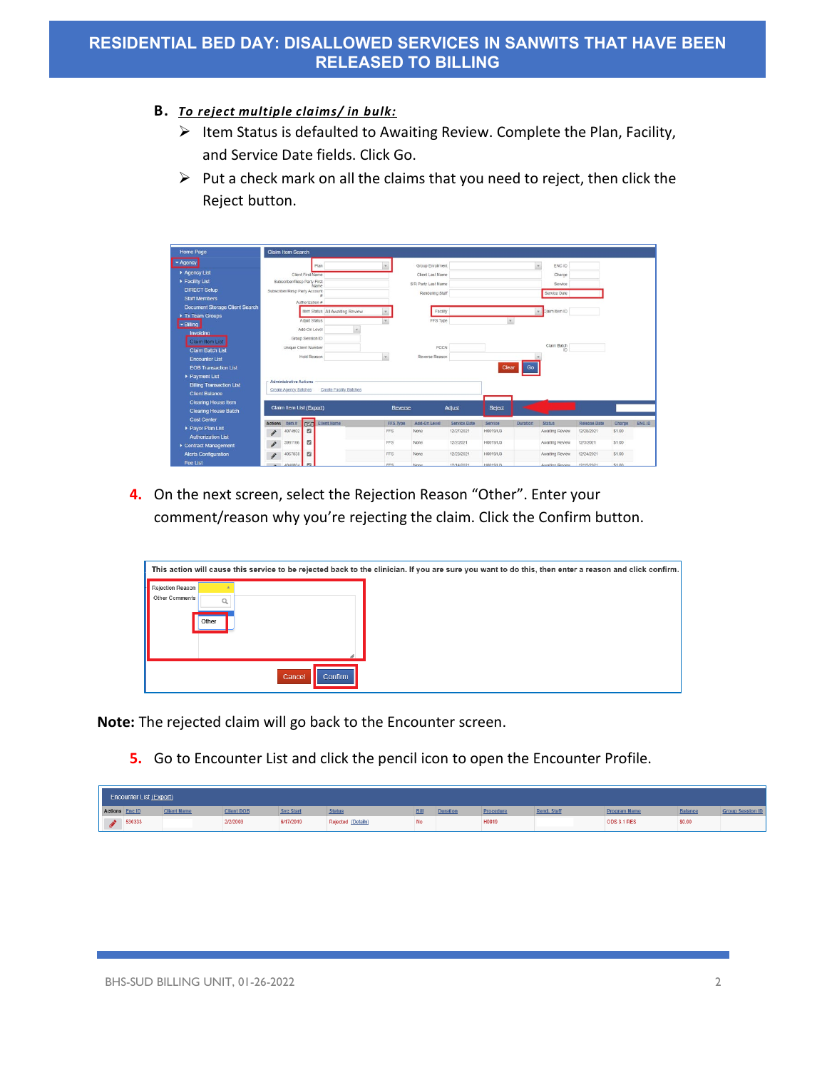- **B.** *To reject multiple claims/ in bulk:*
	- $\triangleright$  Item Status is defaulted to Awaiting Review. Complete the Plan, Facility, and Service Date fields. Click Go.
	- $\triangleright$  Put a check mark on all the claims that you need to reject, then click the Reject button.

| Home Page                             | <b>Claim Item Search</b>                    |                                 |                 |                     |                     |          |          |                   |                     |        |        |
|---------------------------------------|---------------------------------------------|---------------------------------|-----------------|---------------------|---------------------|----------|----------|-------------------|---------------------|--------|--------|
|                                       |                                             |                                 |                 |                     |                     |          |          |                   |                     |        |        |
| - Agency                              | Plan                                        |                                 |                 | Group Enrollment    |                     |          | $\sim$   | ENC ID            |                     |        |        |
| Aqency List                           | Client First Name                           |                                 |                 | Client Last Name    |                     |          |          | Charge            |                     |        |        |
| Facility List                         | Subscriber/Resp Party First<br>Name         |                                 |                 | S/R Party Last Name |                     |          |          | Service           |                     |        |        |
| <b>DIRECT Setup</b>                   | Subscriber/Resp Party Account               |                                 |                 | Rendering Staff     |                     |          |          | Service Date      |                     |        |        |
| <b>Staff Members</b>                  | Authorization #                             |                                 |                 |                     |                     |          |          |                   |                     |        |        |
| <b>Document Storage Client Search</b> |                                             | Item Status All Awaiting Review |                 | Facility            |                     |          |          | Claim Item ID     |                     |        |        |
| Tx Team Groups                        |                                             |                                 |                 |                     |                     |          |          |                   |                     |        |        |
| - Billing                             | Adjud Status                                |                                 |                 | FFS Type            |                     |          |          |                   |                     |        |        |
| Invoicing                             | Add-On Level                                | $\scriptstyle\star$             |                 |                     |                     |          |          |                   |                     |        |        |
| Claim Item List                       | Group Session ID                            |                                 |                 |                     |                     |          |          |                   |                     |        |        |
| <b>Claim Batch List</b>               | Unique Client Number                        |                                 |                 | PCCN                |                     |          |          | Claim Batch<br>ID |                     |        |        |
| <b>Encounter List</b>                 | Hold Reason                                 |                                 | $\mathcal{L}$   | Reverse Reason      |                     |          |          |                   |                     |        |        |
| <b>EOB Transaction List</b>           |                                             |                                 |                 |                     |                     | Clear    | Go       |                   |                     |        |        |
| Payment List                          |                                             |                                 |                 |                     |                     |          |          |                   |                     |        |        |
| <b>Billing Transaction List</b>       | <b>Administrative Actions</b>               |                                 |                 |                     |                     |          |          |                   |                     |        |        |
| <b>Client Balance</b>                 | Create Agency Batches                       | <b>Create Facilty Batches</b>   |                 |                     |                     |          |          |                   |                     |        |        |
| <b>Clearing House Item</b>            |                                             |                                 |                 |                     |                     |          |          |                   |                     |        |        |
| <b>Clearing House Batch</b>           | Claim Item List (Export)                    |                                 | Reverse         |                     | Adjust              | Reject   |          |                   |                     |        |        |
| <b>Cost Center</b>                    | CVC Client Name<br>Item #<br><b>Actions</b> |                                 | <b>FFS Type</b> | Add-On Level        | <b>Service Date</b> | Service  | Duration | Status            | <b>Release Date</b> | Charge | ENC ID |
| Payor Plan List                       | $\mathbf{z}$<br>4074502                     |                                 | FFS             | None                | 12/27/2021          | H0019/U3 |          | Awaiting Review   | 12/28/2021          | \$1.00 |        |
| <b>Authorization List</b>             |                                             |                                 |                 |                     |                     |          |          |                   |                     |        |        |
| Contract Management                   | z<br>3991166                                |                                 | FFS             | <b>None</b>         | 12/2/2021           | H0019/U3 |          | Awaiting Review   | 12/3/2021           | \$1.00 |        |
| <b>Alerts Configuration</b>           | $\Box$<br>4067538<br>$\mathcal{L}^{\prime}$ |                                 | FFS             | None                | 12/23/2021          | H0019/U3 |          | Awaiting Review   | 12/24/2021          | \$1.00 |        |
| Fee List                              | m <sub>2</sub><br>$-100001$                 |                                 | FFS             | <b>None</b>         | 12/14/2021          | HOD19113 |          | Awaiting Devicer  | 12/15/2021          | \$1.00 |        |

**4.** On the next screen, select the Rejection Reason "Other". Enter your comment/reason why you're rejecting the claim. Click the Confirm button.

|                                                    |                          | This action will cause this service to be rejected back to the clinician. If you are sure you want to do this, then enter a reason and click confirm. |
|----------------------------------------------------|--------------------------|-------------------------------------------------------------------------------------------------------------------------------------------------------|
| <b>Rejection Reason</b><br>Other Comments<br>Other |                          |                                                                                                                                                       |
|                                                    | Cancel<br><b>Confirm</b> |                                                                                                                                                       |

**Note:** The rejected claim will go back to the Encounter screen.

**5.** Go to Encounter List and click the pencil icon to open the Encounter Profile.

|                | Encounter List (Export) |                    |                   |                  |                    |      |                 |           |             |                     |                |                         |
|----------------|-------------------------|--------------------|-------------------|------------------|--------------------|------|-----------------|-----------|-------------|---------------------|----------------|-------------------------|
| Actions Enc ID |                         | <b>Client Name</b> | <b>Client DOB</b> | <b>Svc Start</b> | <b>Statu</b>       | 3ill | <b>Duration</b> | Procedure | Rend. Staff | <b>Program Name</b> | <b>Balance</b> | <b>Group Session ID</b> |
| $\mathbf{A}$   | 530333                  |                    | 2/2/2003          | 6/17/2019        | Rejected (Details) | No   |                 | H0019     |             | <b>ODS 3.1 RES</b>  | \$0.00         |                         |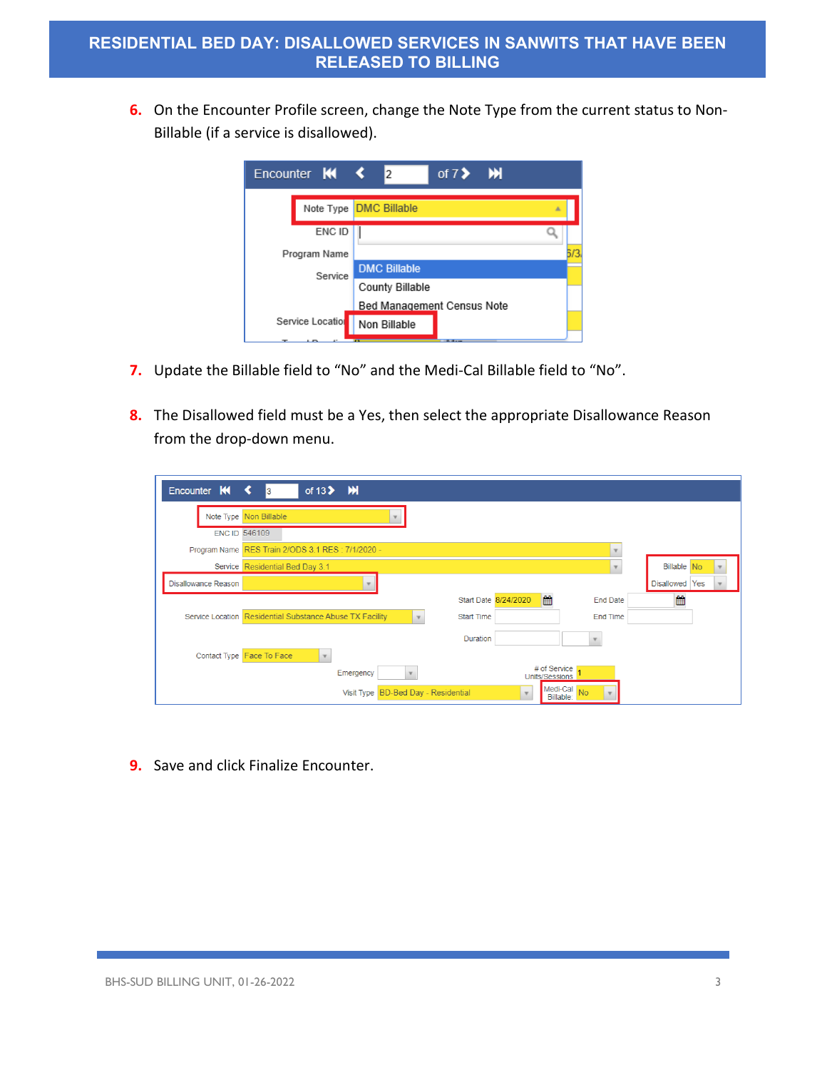**6.** On the Encounter Profile screen, change the Note Type from the current status to Non-Billable (if a service is disallowed).



- **7.** Update the Billable field to "No" and the Medi-Cal Billable field to "No".
- **8.** The Disallowed field must be a Yes, then select the appropriate Disallowance Reason from the drop-down menu.

| Encounter K                | of $13$ $\blacktriangleright$ $\blacktriangleright$ $\blacktriangleright$<br>3                           |                |
|----------------------------|----------------------------------------------------------------------------------------------------------|----------------|
|                            | Note Type Non Billable                                                                                   |                |
|                            | <b>ENC ID 546109</b>                                                                                     |                |
|                            | Program Name RES Train 2/ODS 3.1 RES : 7/1/2020 -<br>$\overline{\phantom{a}}$                            |                |
|                            | Service Residential Bed Day 3.1<br>$\mathbf{v}$                                                          | Billable No.   |
| <b>Disallowance Reason</b> |                                                                                                          | Disallowed Yes |
|                            | ■<br>Start Date 8/24/2020<br><b>End Date</b>                                                             | 饂              |
|                            | Service Location Residential Substance Abuse TX Facility<br><b>Start Time</b><br>End Time<br>$\mathbf v$ |                |
|                            | Duration                                                                                                 |                |
|                            | Contact Type Face To Face                                                                                |                |
|                            | # of Service<br>Emergency<br>$\mathbf v$<br>Units/Sessions                                               |                |
|                            | Medi-Cal No<br>Visit Type BD-Bed Day - Residential<br>Billable:                                          |                |

**9.** Save and click Finalize Encounter.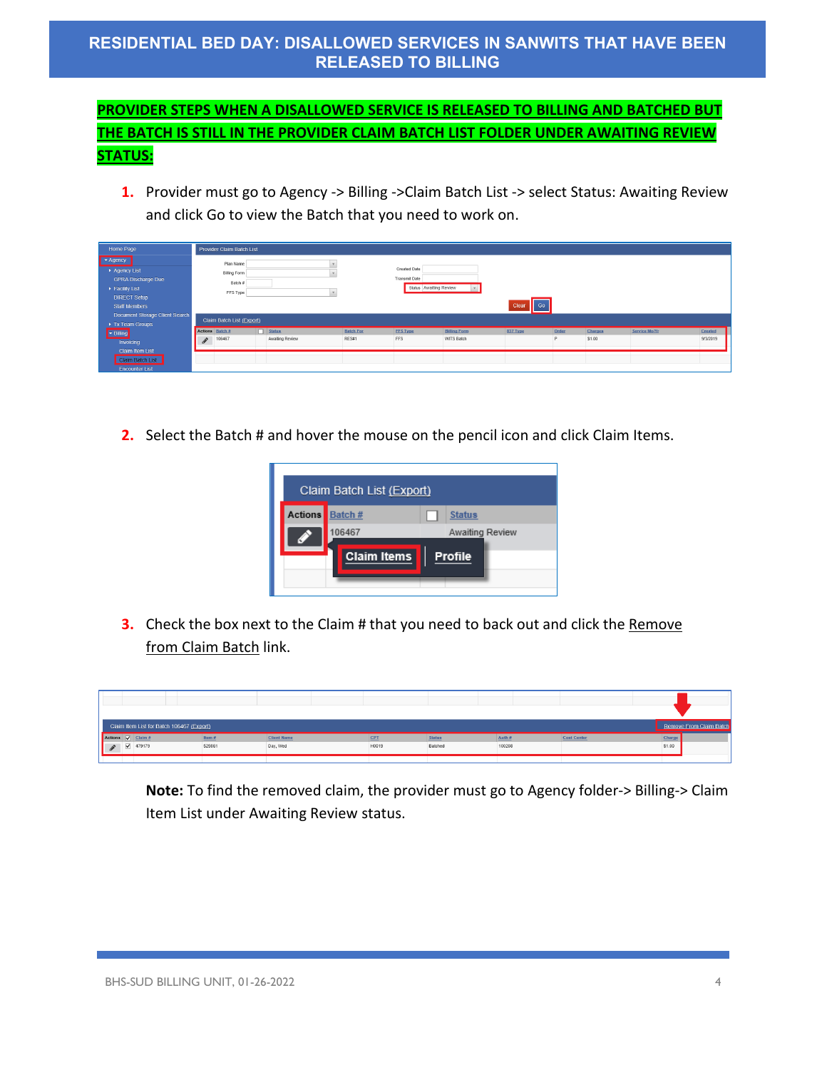## **RESIDENTIAL BED DAY: DISALLOWED SERVICES IN SANWITS THAT HAVE BEEN RELEASED TO BILLING**

## **PROVIDER STEPS WHEN A DISALLOWED SERVICE IS RELEASED TO BILLING AND BATCHED BUT THE BATCH IS STILL IN THE PROVIDER CLAIM BATCH LIST FOLDER UNDER AWAITING REVIEW STATUS:**

**1.** Provider must go to Agency -> Billing -> Claim Batch List -> select Status: Awaiting Review and click Go to view the Batch that you need to work on.

| Home Page                                                                                                                                               | Provider Claim Batch List                               |                 |                  |                                             |                        |                           |       |         |               |          |
|---------------------------------------------------------------------------------------------------------------------------------------------------------|---------------------------------------------------------|-----------------|------------------|---------------------------------------------|------------------------|---------------------------|-------|---------|---------------|----------|
| $\blacktriangleright$ Agency<br>Agency List<br><b>GPRA Discharge Due</b><br>$\blacktriangleright$ Facility List<br><b>DIRECT Setup</b><br>Staff Members | Plan Name<br><b>Billing Form</b><br>Batch #<br>FFS Type |                 |                  | <b>Created Date</b><br><b>Transmit Date</b> | Status Awaiting Review | $\mathsf{II}$ Go<br>Clear |       |         |               |          |
| Document Storage Client Search<br>Tx Team Groups                                                                                                        | Claim Batch List (Export)                               |                 |                  |                                             |                        |                           |       |         |               |          |
| $\blacktriangleright$ Billing                                                                                                                           | Actions Batch #                                         | <b>Status</b>   | <b>Batch For</b> | <b>FFS Type</b>                             | <b>Billing Form</b>    | 837 Type                  | Order | Charges | Service Mo/Yr | Created  |
| Invoicing                                                                                                                                               | 106467<br>$\mathscr{F}$                                 | Awaiting Review | RES#1            | FFS                                         | WITS Batch             |                           |       | \$1.00  |               | 9/3/2019 |
| Claim Item List<br>Claim Batch List<br><b>Encounter List</b>                                                                                            |                                                         |                 |                  |                                             |                        |                           |       |         |               |          |

**2.** Select the Batch # and hover the mouse on the pencil icon and click Claim Items.



**3.** Check the box next to the Claim # that you need to back out and click the Remove from Claim Batch link.

| Claim Item List for Batch 106467 (Export)           |                  |        |                    | Remove From 0<br>n Batch |
|-----------------------------------------------------|------------------|--------|--------------------|--------------------------|
| Actions V Claim #<br><b>Client Name</b><br>Item $#$ | CPT<br>Statu:    | Auth#  | <b>Cost Center</b> | Charg                    |
| 79179<br>529861<br>Day, Wed                         | H0019<br>Batched | 100208 |                    | \$1.00                   |

**Note:** To find the removed claim, the provider must go to Agency folder-> Billing-> Claim Item List under Awaiting Review status.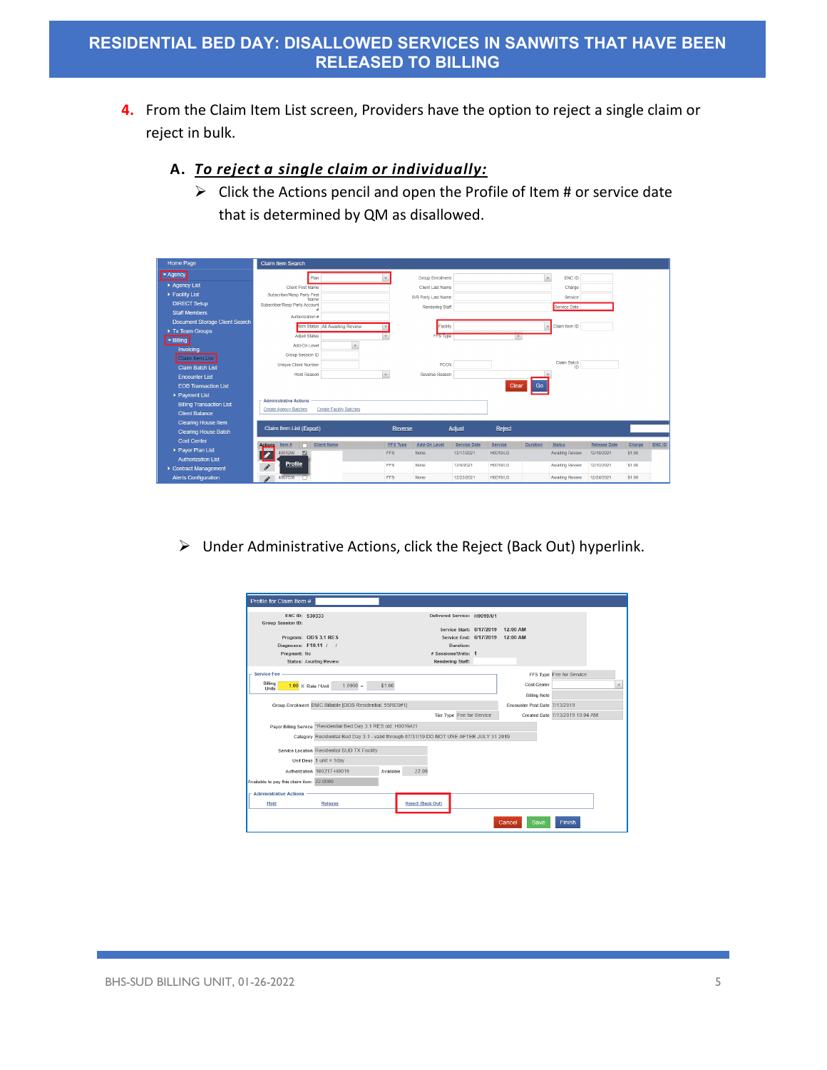- **4.** From the Claim Item List screen, Providers have the option to reject a single claim or reject in bulk.
	- **A.** *To reject a single claim or individually:*
		- $\triangleright$  Click the Actions pencil and open the Profile of Item # or service date that is determined by QM as disallowed.

| Home Page                       | <b>Claim Item Search</b>                  |                                   |                 |                         |                     |                 |                 |                        |                     |        |        |
|---------------------------------|-------------------------------------------|-----------------------------------|-----------------|-------------------------|---------------------|-----------------|-----------------|------------------------|---------------------|--------|--------|
| Agency                          | Plan                                      |                                   |                 | <b>Group Enrollment</b> |                     |                 | $\mathbf{v}$    | ENC ID                 |                     |        |        |
| Agency List                     | <b>Client First Name</b>                  |                                   |                 | <b>Client Last Name</b> |                     |                 |                 | Charge                 |                     |        |        |
| Facility List                   | Subscriber/Resp Party First<br>Name       |                                   |                 | S/R Party Last Name     |                     |                 |                 | Service                |                     |        |        |
| <b>DIRECT Setup</b>             | Subscriber/Resp Party Account             |                                   |                 | Rendering Staff         |                     |                 |                 | Service Date           |                     |        |        |
| <b>Staff Members</b>            | Authorization #                           |                                   |                 |                         |                     |                 |                 |                        |                     |        |        |
| Document Storage Client Search  |                                           | Item Status   All Awaiting Review |                 | Facility                |                     |                 |                 | Claim Item ID          |                     |        |        |
| Tx Team Groups                  |                                           |                                   |                 |                         |                     |                 |                 |                        |                     |        |        |
| Billing                         | <b>Adjud Status</b>                       |                                   |                 | FFS Type                |                     | $\mathbf v$     |                 |                        |                     |        |        |
| Invoicing                       | Add-On Level                              | $\mathbf{v}$                      |                 |                         |                     |                 |                 |                        |                     |        |        |
| Claim Item List                 | Group Session ID                          |                                   |                 |                         |                     |                 |                 | Claim Batch            |                     |        |        |
| <b>Claim Batch List</b>         | <b>Unique Client Number</b>               |                                   |                 | PCCN                    |                     |                 |                 | ID                     |                     |        |        |
| <b>Encounter List</b>           | <b>Hold Reason</b>                        | $\mathbf{v}$                      |                 | Reverse Reason          |                     |                 |                 |                        |                     |        |        |
| <b>EOB Transaction List</b>     |                                           |                                   |                 |                         |                     | Clear           | Go              |                        |                     |        |        |
| ▶ Payment List                  |                                           |                                   |                 |                         |                     |                 |                 |                        |                     |        |        |
| <b>Billing Transaction List</b> | <b>Administrative Actions</b>             |                                   |                 |                         |                     |                 |                 |                        |                     |        |        |
| <b>Client Balance</b>           | <b>Create Agency Batches</b>              | <b>Create Facility Batches</b>    |                 |                         |                     |                 |                 |                        |                     |        |        |
| <b>Clearing House Item</b>      |                                           |                                   |                 |                         |                     |                 |                 |                        |                     |        |        |
| <b>Clearing House Batch</b>     | Claim Item List (Export)                  |                                   | Reverse         |                         | <b>Adjust</b>       | Reject          |                 |                        |                     |        |        |
| <b>Cost Center</b>              | Item $#$<br>n<br><b>Actions</b>           | <b>Client Name</b>                | <b>FFS Type</b> | Add-On Level            | <b>Service Date</b> | Service         | <b>Duration</b> | <b>Status</b>          | <b>Release Date</b> | Charge | ENC ID |
| ▶ Payor Plan List               | 4051296<br>$\blacksquare$                 |                                   | FFS             | None                    | 12/17/2021          | <b>H0019/U3</b> |                 | Awaiting Review        | 12/18/2021          | \$1,00 |        |
| <b>Authorization List</b>       |                                           |                                   |                 |                         |                     |                 |                 |                        |                     |        |        |
| Contract Management             | <b>Profile</b><br>$\mathcal{L}^{\bullet}$ |                                   | <b>FFS</b>      | None                    | 12/9/2021           | H0019/U3        |                 | <b>Awaiting Review</b> | 12/10/2021          | \$1.00 |        |
| <b>Alerts Configuration</b>     | 4067538<br>i                              |                                   | FFS             | None                    | 12/23/2021          | <b>H0019/U3</b> |                 | <b>Awaiting Review</b> | 12/24/2021          | \$1.00 |        |

Under Administrative Actions, click the Reject (Back Out) hyperlink.

| Profile for Claim Item #                                            |                                                                                         |           |                          |                           |                                                         |                                    |                                 |  |
|---------------------------------------------------------------------|-----------------------------------------------------------------------------------------|-----------|--------------------------|---------------------------|---------------------------------------------------------|------------------------------------|---------------------------------|--|
| ENC ID: 530333<br>Group Session ID:                                 |                                                                                         |           |                          |                           | Delivered Service: H0019/U1<br>Service Start: 6/17/2019 | 12:00 AM                           |                                 |  |
| Program: ODS 3.1 RES                                                |                                                                                         |           |                          |                           | Service End: 6/17/2019                                  | 12:00 AM                           |                                 |  |
| Diagnoses: F10.11 / /                                               |                                                                                         |           |                          | Duration:                 |                                                         |                                    |                                 |  |
| Pregnant: No                                                        |                                                                                         |           |                          | # Sessions/Units: 1       |                                                         |                                    |                                 |  |
| Status: Awaiting Review                                             |                                                                                         |           |                          | Rendering Staff:          |                                                         |                                    |                                 |  |
| <b>Service Fee</b><br>Billing<br>$1.00 \times$ Rate / Unit<br>Units | $1.0000 =$                                                                              | \$1.00    |                          |                           |                                                         | Cost Center<br><b>Billing Note</b> | FFS Type Fee for Service        |  |
|                                                                     |                                                                                         |           |                          |                           |                                                         |                                    |                                 |  |
|                                                                     | Group Enrollment DMC Billable [ODS Residential, 55RES#1]                                |           |                          |                           |                                                         | Encounter Post Date 7/13/2019      |                                 |  |
|                                                                     |                                                                                         |           |                          | Tier Type Fee for Service |                                                         |                                    | Created Date 7/13/2019 10:04 AM |  |
|                                                                     | Payor Billing Service *Residential Bed Day 3.1 RES old: H0019/U1                        |           |                          |                           |                                                         |                                    |                                 |  |
|                                                                     | Category Residential Bed Day 3.1 - valid through 07/31/19 DO NOT USE AFTER JULY 31 2019 |           |                          |                           |                                                         |                                    |                                 |  |
|                                                                     | Service Location Residential SUD TX Facility                                            |           |                          |                           |                                                         |                                    |                                 |  |
|                                                                     | Unit Desc $1$ unit = $1$ day                                                            |           |                          |                           |                                                         |                                    |                                 |  |
|                                                                     | Authorization 100217-H0019                                                              | Available | 22.00                    |                           |                                                         |                                    |                                 |  |
| Available to pay this claim item: 22.0000                           |                                                                                         |           |                          |                           |                                                         |                                    |                                 |  |
| - Administrative Actions                                            |                                                                                         |           |                          |                           |                                                         |                                    |                                 |  |
| Hold                                                                | Release                                                                                 |           | <b>Reject (Back Out)</b> |                           |                                                         |                                    |                                 |  |
|                                                                     |                                                                                         |           |                          |                           |                                                         | Save<br>Cancel                     | <b>Finish</b>                   |  |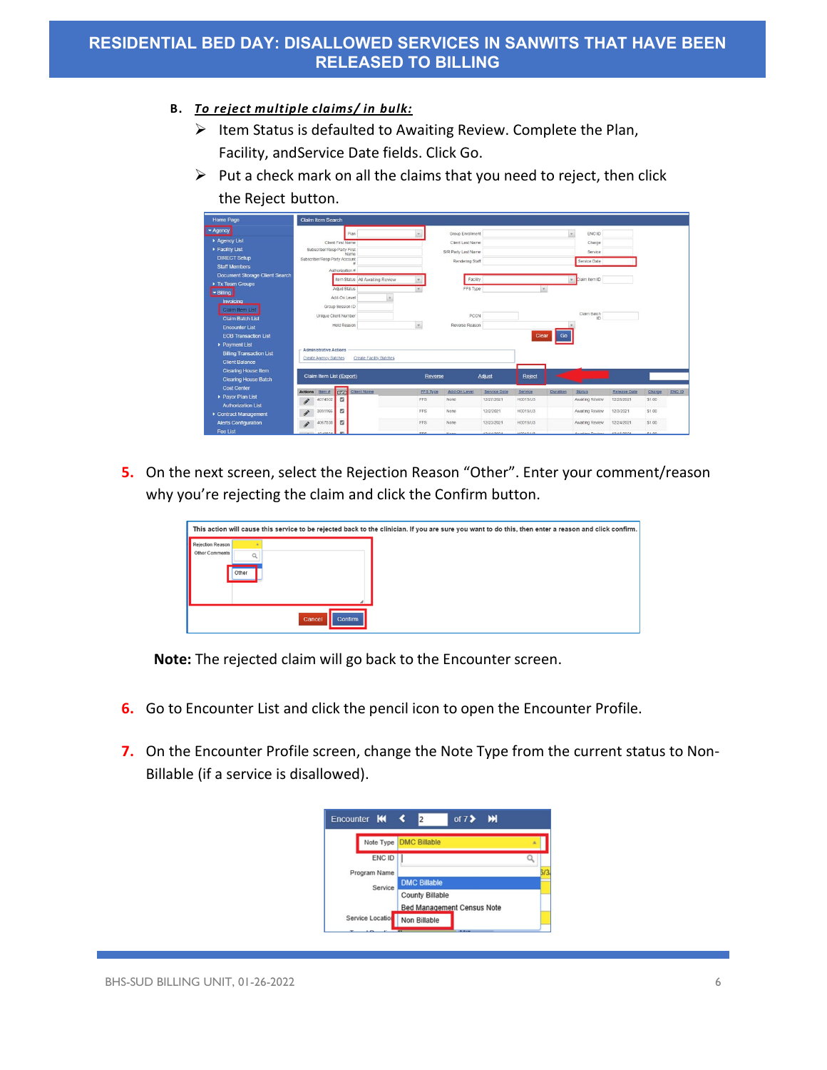#### **B.** *To reject multiple claims/ in bulk:*

- $\triangleright$  Item Status is defaulted to Awaiting Review. Complete the Plan, Facility, andService Date fields. Click Go.
- $\triangleright$  Put a check mark on all the claims that you need to reject, then click the Reject button.

| Home Page                             |                            | <b>Claim Item Search</b>      |                   |                                 |          |                     |                     |          |          |                            |                     |        |        |
|---------------------------------------|----------------------------|-------------------------------|-------------------|---------------------------------|----------|---------------------|---------------------|----------|----------|----------------------------|---------------------|--------|--------|
| - Agency                              |                            |                               |                   | Plan                            |          | Group Enrollment    |                     |          |          | $\tau$<br>ENC ID           |                     |        |        |
| Aqency List                           |                            |                               | Client First Name |                                 |          | Client Last Name    |                     |          |          | Charge                     |                     |        |        |
| Facility List                         |                            | Subscriber/Resp Party First   |                   | Name                            |          | S/R Party Last Name |                     |          |          | Service                    |                     |        |        |
| <b>DIRECT Setup</b>                   |                            | Subscriber/Resp Party Account |                   |                                 |          | Rendering Staff     |                     |          |          | Service Date               |                     |        |        |
| <b>Staff Members</b>                  |                            |                               | Authorization #   |                                 |          |                     |                     |          |          |                            |                     |        |        |
| <b>Document Storage Client Search</b> |                            |                               |                   | Item Status All Awaiting Review |          | Facility            |                     |          |          | Claim Item ID<br>٠         |                     |        |        |
| Tx Team Groups                        |                            |                               | Adjud Status      |                                 |          | FFS Type            |                     |          | $\tau$   |                            |                     |        |        |
| - Billing                             |                            |                               | Add-On Level      |                                 |          |                     |                     |          |          |                            |                     |        |        |
| Invoicing                             |                            |                               | Group Session ID  |                                 |          |                     |                     |          |          |                            |                     |        |        |
| Claim Item List                       |                            |                               |                   |                                 |          |                     |                     |          |          | Claim Batch                |                     |        |        |
| <b>Claim Batch List</b>               |                            | Unique Client Number          |                   |                                 |          | <b>PCCN</b>         |                     |          |          | ID                         |                     |        |        |
| <b>Encounter List</b>                 |                            |                               | Hold Reason       |                                 | $\tau.$  | Reverse Reason      |                     |          |          |                            |                     |        |        |
| <b>EOB Transaction List</b>           |                            |                               |                   |                                 |          |                     |                     | Clear    | Go       |                            |                     |        |        |
| Payment List                          |                            |                               |                   |                                 |          |                     |                     |          |          |                            |                     |        |        |
| <b>Billing Transaction List</b>       |                            | <b>Administrative Actions</b> |                   |                                 |          |                     |                     |          |          |                            |                     |        |        |
| <b>Client Balance</b>                 |                            | Create Agency Batches         |                   | <b>Create Facility Batches</b>  |          |                     |                     |          |          |                            |                     |        |        |
| <b>Clearing House Item</b>            |                            |                               |                   |                                 |          |                     |                     |          |          |                            |                     |        |        |
| <b>Clearing House Batch</b>           |                            | Claim Item List (Export)      |                   |                                 | Reverse  |                     | <b>Adjust</b>       | Reject   |          |                            |                     |        |        |
| <b>Cost Center</b>                    | <b>Actions</b>             | Item #                        |                   | Civent Name                     | FFS Type | Add-On Level        | <b>Service Date</b> | Service  | Duration | <b>Status</b>              | <b>Release Date</b> | Charge | ENC ID |
| Payor Plan List                       | $\mathcal{S}$              | 4074502                       | $\mathbf{z}$      |                                 | FFS      | None                | 12/27/2021          | H0019/U3 |          | Awaiting Review            | 12/28/2021          | \$1.00 |        |
| <b>Authorization List</b>             |                            |                               |                   |                                 | FFS      |                     |                     | H0019/U3 |          |                            |                     | \$1.00 |        |
| Contract Management                   | $\boldsymbol{\mathcal{J}}$ | 3991166                       | ø                 |                                 |          | <b>None</b>         | 12/2/2021           |          |          | Awaiting Review            | 12/3/2021           |        |        |
| <b>Alerts Configuration</b>           | i                          | 4067538                       | z                 |                                 | FFS      | None                | 12/23/2021          | H0019/U3 |          | Awaiting Review            | 12/24/2021          | \$1.00 |        |
| Fee List                              |                            | 4040804                       | m                 |                                 | FFS      | <b>None</b>         | 12/14/2021          | HOD19113 |          | Awaiting Deview 12/15/2021 |                     | \$1.00 |        |

**5.** On the next screen, select the Rejection Reason "Other". Enter your comment/reason why you're rejecting the claim and click the Confirm button.

|                                             |                   | This action will cause this service to be rejected back to the clinician. If you are sure you want to do this, then enter a reason and click confirm. |
|---------------------------------------------|-------------------|-------------------------------------------------------------------------------------------------------------------------------------------------------|
| Rejection Reason<br>Other Comments<br>Other |                   |                                                                                                                                                       |
|                                             | Cancel<br>Confirm |                                                                                                                                                       |

**Note:** The rejected claim will go back to the Encounter screen.

- **6.** Go to Encounter List and click the pencil icon to open the Encounter Profile.
- **7.** On the Encounter Profile screen, change the Note Type from the current status to Non-Billable (if a service is disallowed).

| Encounter $H \leq$ | of $75$ M<br>$\overline{2}$       |      |
|--------------------|-----------------------------------|------|
|                    | Note Type <b>DMC Billable</b>     | ×    |
| ENC ID             |                                   |      |
| Program Name       |                                   | -73. |
| Service            | <b>DMC Billable</b>               |      |
|                    | <b>County Billable</b>            |      |
|                    | <b>Bed Management Census Note</b> |      |
| Service Location   | Non Billable                      |      |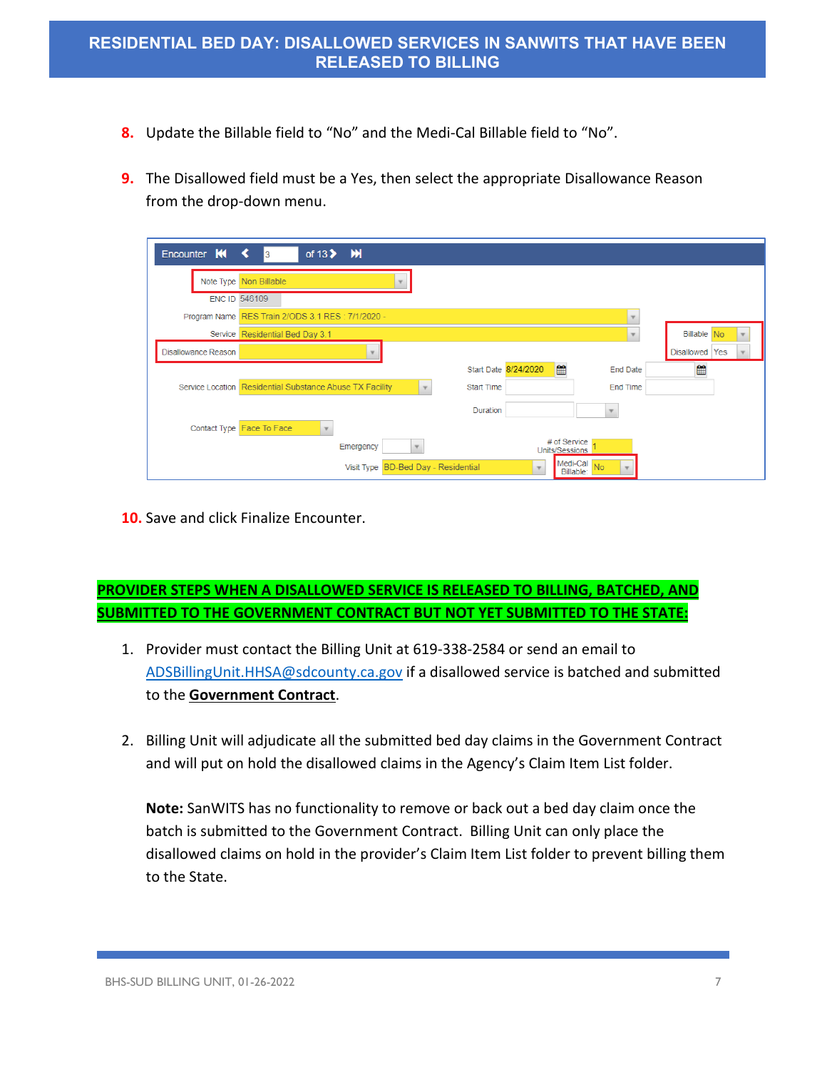- **8.** Update the Billable field to "No" and the Medi-Cal Billable field to "No".
- **9.** The Disallowed field must be a Yes, then select the appropriate Disallowance Reason from the drop-down menu.

| Encounter $M \leq$         | of $13$ $\blacktriangleright$ $\blacktriangleright$ $\blacktriangleright$<br>3                                   |                |
|----------------------------|------------------------------------------------------------------------------------------------------------------|----------------|
|                            | Note Type Non Billable                                                                                           |                |
|                            | <b>ENC ID 546109</b>                                                                                             |                |
|                            | Program Name RES Train 2/ODS 3.1 RES : 7/1/2020 -                                                                |                |
|                            | Service Residential Bed Day 3.1                                                                                  | Billable No    |
| <b>Disallowance Reason</b> |                                                                                                                  | Disallowed Yes |
|                            | ■<br>Start Date 8/24/2020<br><b>End Date</b>                                                                     | 曾              |
|                            | Service Location Residential Substance Abuse TX Facility<br><b>Start Time</b><br><b>End Time</b><br>$\mathbf{v}$ |                |
|                            | Duration                                                                                                         |                |
|                            | Contact Type Face To Face                                                                                        |                |
|                            | # of Service<br>Emergency<br>Units/Sessions                                                                      |                |
|                            | Medi-Cal No<br>Visit Type BD-Bed Day - Residential<br>Billable:                                                  |                |

**10.** Save and click Finalize Encounter.

# **PROVIDER STEPS WHEN A DISALLOWED SERVICE IS RELEASED TO BILLING, BATCHED, AND SUBMITTED TO THE GOVERNMENT CONTRACT BUT NOT YET SUBMITTED TO THE STATE:**

- 1. Provider must contact the Billing Unit at 619-338-2584 or send an email to [ADSBillingUnit.HHSA@sdcounty.ca.gov](mailto:ADSBillingUnit.HHSA@sdcounty.ca.gov) if a disallowed service is batched and submitted to the **Government Contract**.
- 2. Billing Unit will adjudicate all the submitted bed day claims in the Government Contract and will put on hold the disallowed claims in the Agency's Claim Item List folder.

**Note:** SanWITS has no functionality to remove or back out a bed day claim once the batch is submitted to the Government Contract. Billing Unit can only place the disallowed claims on hold in the provider's Claim Item List folder to prevent billing them to the State.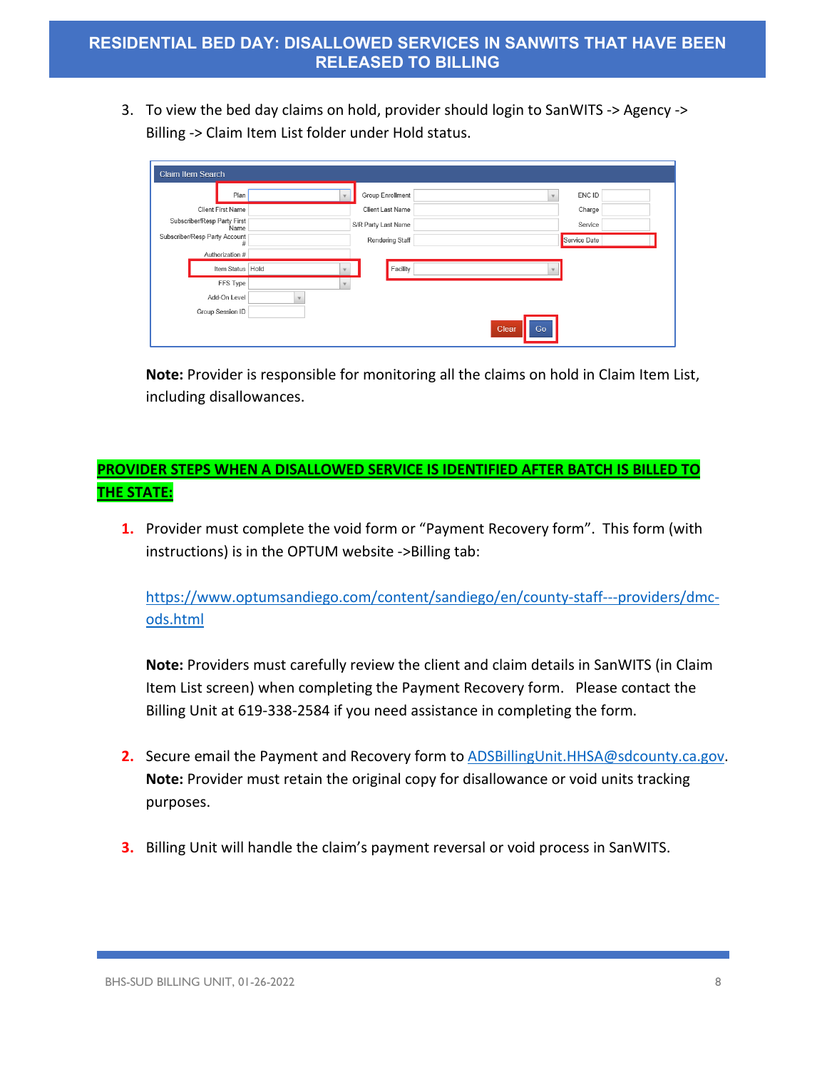3. To view the bed day claims on hold, provider should login to SanWITS -> Agency -> Billing -> Claim Item List folder under Hold status.

| Claim Item Search |                                     |             |                     |                          |              |  |  |
|-------------------|-------------------------------------|-------------|---------------------|--------------------------|--------------|--|--|
|                   | Plan                                |             | Group Enrollment    | $\overline{\phantom{a}}$ | ENC ID       |  |  |
|                   | <b>Client First Name</b>            |             | Client Last Name    |                          | Charge       |  |  |
|                   | Subscriber/Resp Party First<br>Name |             | S/R Party Last Name |                          | Service      |  |  |
|                   | Subscriber/Resp Party Account<br>#  |             | Rendering Staff     |                          | Service Date |  |  |
|                   | Authorization #                     |             |                     |                          |              |  |  |
|                   | Item Status Hold                    |             | Facility            |                          |              |  |  |
|                   | FFS Type                            | $\mathbf v$ |                     |                          |              |  |  |
|                   | Add-On Level                        |             |                     |                          |              |  |  |
|                   | Group Session ID                    |             |                     |                          |              |  |  |
|                   |                                     |             |                     | Clear<br>Go              |              |  |  |

**Note:** Provider is responsible for monitoring all the claims on hold in Claim Item List, including disallowances.

## **PROVIDER STEPS WHEN A DISALLOWED SERVICE IS IDENTIFIED AFTER BATCH IS BILLED TO THE STATE:**

**1.** Provider must complete the void form or "Payment Recovery form". This form (with instructions) is in the OPTUM website ->Billing tab:

[https://www.optumsandiego.com/content/sandiego/en/county-staff---providers/dmc](https://www.optumsandiego.com/content/sandiego/en/county-staff---providers/dmc-ods.html)[ods.html](https://www.optumsandiego.com/content/sandiego/en/county-staff---providers/dmc-ods.html)

**Note:** Providers must carefully review the client and claim details in SanWITS (in Claim Item List screen) when completing the Payment Recovery form. Please contact the Billing Unit at 619-338-2584 if you need assistance in completing the form.

- **2.** Secure email the Payment and Recovery form to [ADSBillingUnit.HHSA@sdcounty.ca.gov.](mailto:ADSBillingUnit.HHSA@sdcounty.ca.gov) **Note:** Provider must retain the original copy for disallowance or void units tracking purposes.
- **3.** Billing Unit will handle the claim's payment reversal or void process in SanWITS.